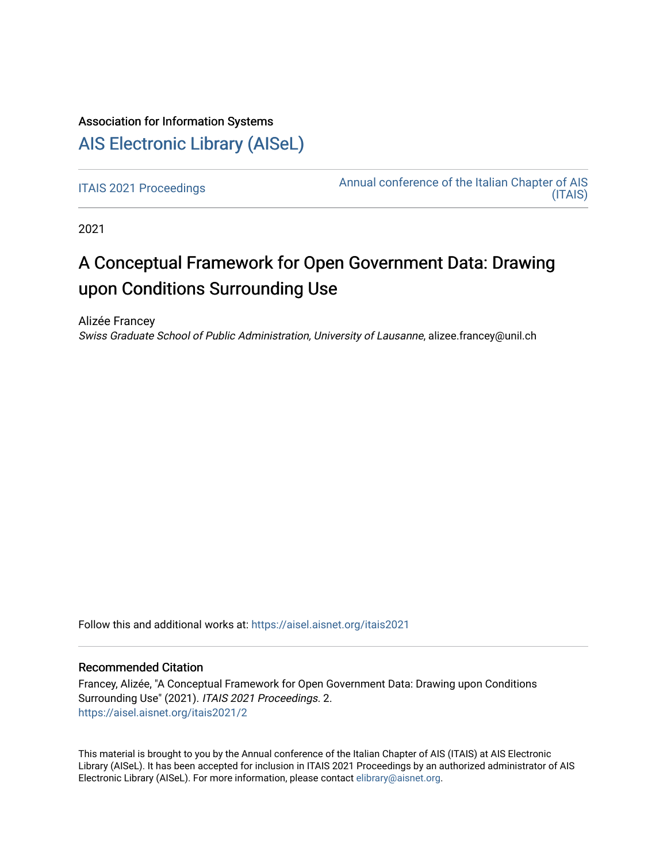# Association for Information Systems

# [AIS Electronic Library \(AISeL\)](https://aisel.aisnet.org/)

[ITAIS 2021 Proceedings](https://aisel.aisnet.org/itais2021) **Annual conference of the Italian Chapter of AIS** [\(ITAIS\)](https://aisel.aisnet.org/itais) 

2021

# A Conceptual Framework for Open Government Data: Drawing upon Conditions Surrounding Use

Alizée Francey Swiss Graduate School of Public Administration, University of Lausanne, alizee.francey@unil.ch

Follow this and additional works at: [https://aisel.aisnet.org/itais2021](https://aisel.aisnet.org/itais2021?utm_source=aisel.aisnet.org%2Fitais2021%2F2&utm_medium=PDF&utm_campaign=PDFCoverPages)

# Recommended Citation

Francey, Alizée, "A Conceptual Framework for Open Government Data: Drawing upon Conditions Surrounding Use" (2021). ITAIS 2021 Proceedings. 2. [https://aisel.aisnet.org/itais2021/2](https://aisel.aisnet.org/itais2021/2?utm_source=aisel.aisnet.org%2Fitais2021%2F2&utm_medium=PDF&utm_campaign=PDFCoverPages)

This material is brought to you by the Annual conference of the Italian Chapter of AIS (ITAIS) at AIS Electronic Library (AISeL). It has been accepted for inclusion in ITAIS 2021 Proceedings by an authorized administrator of AIS Electronic Library (AISeL). For more information, please contact [elibrary@aisnet.org.](mailto:elibrary@aisnet.org%3E)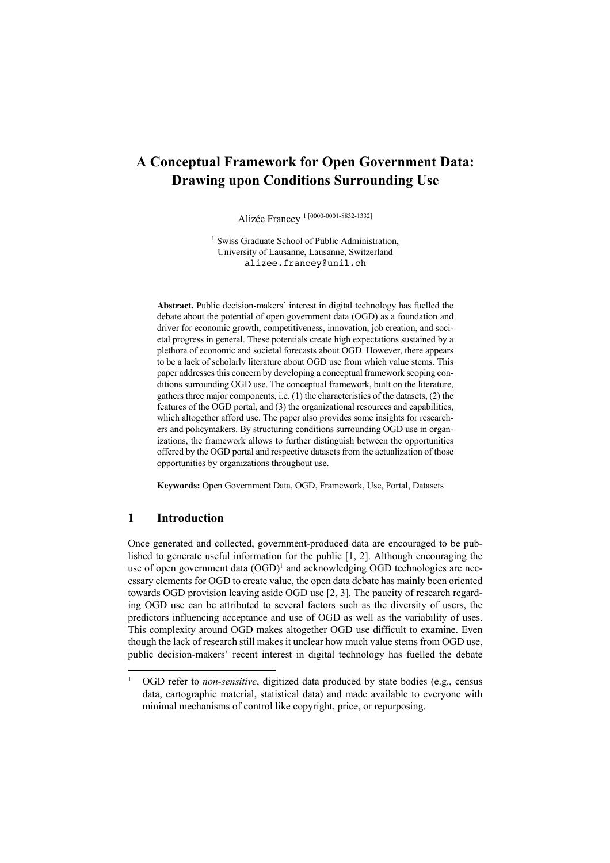# **A Conceptual Framework for Open Government Data: Drawing upon Conditions Surrounding Use**

Alizée Francey <sup>1</sup> [0000-0001-8832-1332]

<sup>1</sup> Swiss Graduate School of Public Administration, University of Lausanne, Lausanne, Switzerland alizee.francey@unil.ch

**Abstract.** Public decision-makers' interest in digital technology has fuelled the debate about the potential of open government data (OGD) as a foundation and driver for economic growth, competitiveness, innovation, job creation, and societal progress in general. These potentials create high expectations sustained by a plethora of economic and societal forecasts about OGD. However, there appears to be a lack of scholarly literature about OGD use from which value stems. This paper addresses this concern by developing a conceptual framework scoping conditions surrounding OGD use. The conceptual framework, built on the literature, gathers three major components, i.e. (1) the characteristics of the datasets, (2) the features of the OGD portal, and (3) the organizational resources and capabilities, which altogether afford use. The paper also provides some insights for researchers and policymakers. By structuring conditions surrounding OGD use in organizations, the framework allows to further distinguish between the opportunities offered by the OGD portal and respective datasets from the actualization of those opportunities by organizations throughout use.

**Keywords:** Open Government Data, OGD, Framework, Use, Portal, Datasets

# **1 Introduction**

Once generated and collected, government-produced data are encouraged to be published to generate useful information for the public [1, 2]. Although encouraging the use of open government data  $(OGD)^1$  and acknowledging OGD technologies are necessary elements for OGD to create value, the open data debate has mainly been oriented towards OGD provision leaving aside OGD use [2, 3]. The paucity of research regarding OGD use can be attributed to several factors such as the diversity of users, the predictors influencing acceptance and use of OGD as well as the variability of uses. This complexity around OGD makes altogether OGD use difficult to examine. Even though the lack of research still makes it unclear how much value stems from OGD use, public decision-makers' recent interest in digital technology has fuelled the debate

<sup>&</sup>lt;sup>1</sup> OGD refer to *non-sensitive*, digitized data produced by state bodies (e.g., census data, cartographic material, statistical data) and made available to everyone with minimal mechanisms of control like copyright, price, or repurposing.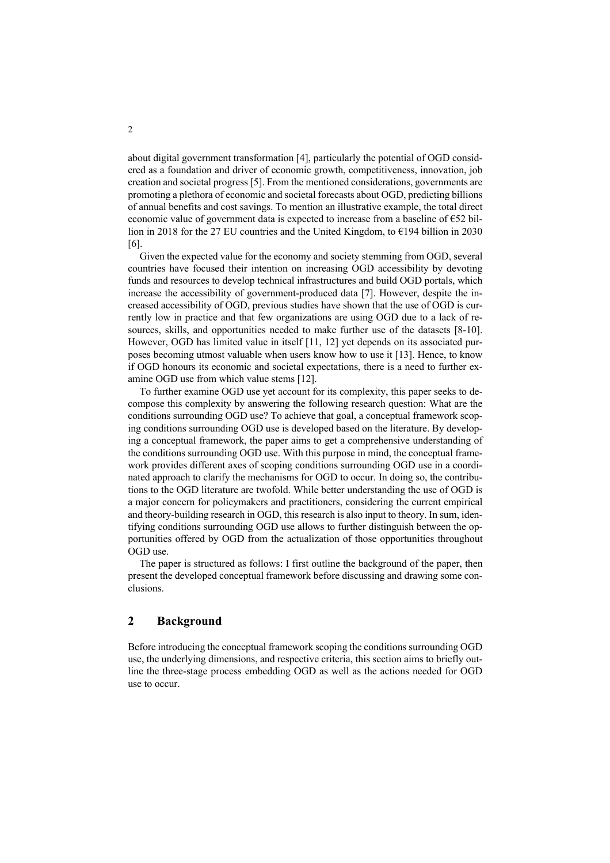about digital government transformation [4], particularly the potential of OGD considered as a foundation and driver of economic growth, competitiveness, innovation, job creation and societal progress [5]. From the mentioned considerations, governments are promoting a plethora of economic and societal forecasts about OGD, predicting billions of annual benefits and cost savings. To mention an illustrative example, the total direct economic value of government data is expected to increase from a baseline of  $\epsilon$ 52 billion in 2018 for the 27 EU countries and the United Kingdom, to  $\epsilon$ 194 billion in 2030 [6].

Given the expected value for the economy and society stemming from OGD, several countries have focused their intention on increasing OGD accessibility by devoting funds and resources to develop technical infrastructures and build OGD portals, which increase the accessibility of government-produced data [7]. However, despite the increased accessibility of OGD, previous studies have shown that the use of OGD is currently low in practice and that few organizations are using OGD due to a lack of resources, skills, and opportunities needed to make further use of the datasets [8-10]. However, OGD has limited value in itself [11, 12] yet depends on its associated purposes becoming utmost valuable when users know how to use it [13]. Hence, to know if OGD honours its economic and societal expectations, there is a need to further examine OGD use from which value stems [12].

To further examine OGD use yet account for its complexity, this paper seeks to decompose this complexity by answering the following research question: What are the conditions surrounding OGD use? To achieve that goal, a conceptual framework scoping conditions surrounding OGD use is developed based on the literature. By developing a conceptual framework, the paper aims to get a comprehensive understanding of the conditions surrounding OGD use. With this purpose in mind, the conceptual framework provides different axes of scoping conditions surrounding OGD use in a coordinated approach to clarify the mechanisms for OGD to occur. In doing so, the contributions to the OGD literature are twofold. While better understanding the use of OGD is a major concern for policymakers and practitioners, considering the current empirical and theory-building research in OGD, this research is also input to theory. In sum, identifying conditions surrounding OGD use allows to further distinguish between the opportunities offered by OGD from the actualization of those opportunities throughout OGD use.

The paper is structured as follows: I first outline the background of the paper, then present the developed conceptual framework before discussing and drawing some conclusions.

## **2 Background**

Before introducing the conceptual framework scoping the conditions surrounding OGD use, the underlying dimensions, and respective criteria, this section aims to briefly outline the three-stage process embedding OGD as well as the actions needed for OGD use to occur.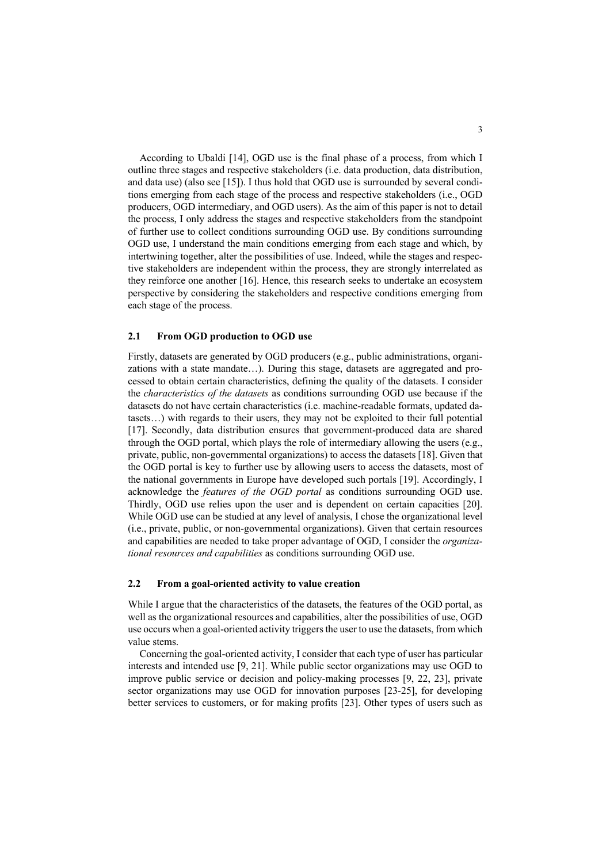According to Ubaldi [14], OGD use is the final phase of a process, from which I outline three stages and respective stakeholders (i.e. data production, data distribution, and data use) (also see [15]). I thus hold that OGD use is surrounded by several conditions emerging from each stage of the process and respective stakeholders (i.e., OGD producers, OGD intermediary, and OGD users). As the aim of this paper is not to detail the process, I only address the stages and respective stakeholders from the standpoint of further use to collect conditions surrounding OGD use. By conditions surrounding OGD use, I understand the main conditions emerging from each stage and which, by intertwining together, alter the possibilities of use. Indeed, while the stages and respective stakeholders are independent within the process, they are strongly interrelated as they reinforce one another [16]. Hence, this research seeks to undertake an ecosystem perspective by considering the stakeholders and respective conditions emerging from each stage of the process.

#### **2.1 From OGD production to OGD use**

Firstly, datasets are generated by OGD producers (e.g., public administrations, organizations with a state mandate…). During this stage, datasets are aggregated and processed to obtain certain characteristics, defining the quality of the datasets. I consider the *characteristics of the datasets* as conditions surrounding OGD use because if the datasets do not have certain characteristics (i.e. machine-readable formats, updated datasets…) with regards to their users, they may not be exploited to their full potential [17]. Secondly, data distribution ensures that government-produced data are shared through the OGD portal, which plays the role of intermediary allowing the users (e.g., private, public, non-governmental organizations) to access the datasets [18]. Given that the OGD portal is key to further use by allowing users to access the datasets, most of the national governments in Europe have developed such portals [19]. Accordingly, I acknowledge the *features of the OGD portal* as conditions surrounding OGD use. Thirdly, OGD use relies upon the user and is dependent on certain capacities [20]. While OGD use can be studied at any level of analysis, I chose the organizational level (i.e., private, public, or non-governmental organizations). Given that certain resources and capabilities are needed to take proper advantage of OGD, I consider the *organizational resources and capabilities* as conditions surrounding OGD use.

#### **2.2 From a goal-oriented activity to value creation**

While I argue that the characteristics of the datasets, the features of the OGD portal, as well as the organizational resources and capabilities, alter the possibilities of use, OGD use occurs when a goal-oriented activity triggers the user to use the datasets, from which value stems.

Concerning the goal-oriented activity, I consider that each type of user has particular interests and intended use [9, 21]. While public sector organizations may use OGD to improve public service or decision and policy-making processes [9, 22, 23], private sector organizations may use OGD for innovation purposes [23-25], for developing better services to customers, or for making profits [23]. Other types of users such as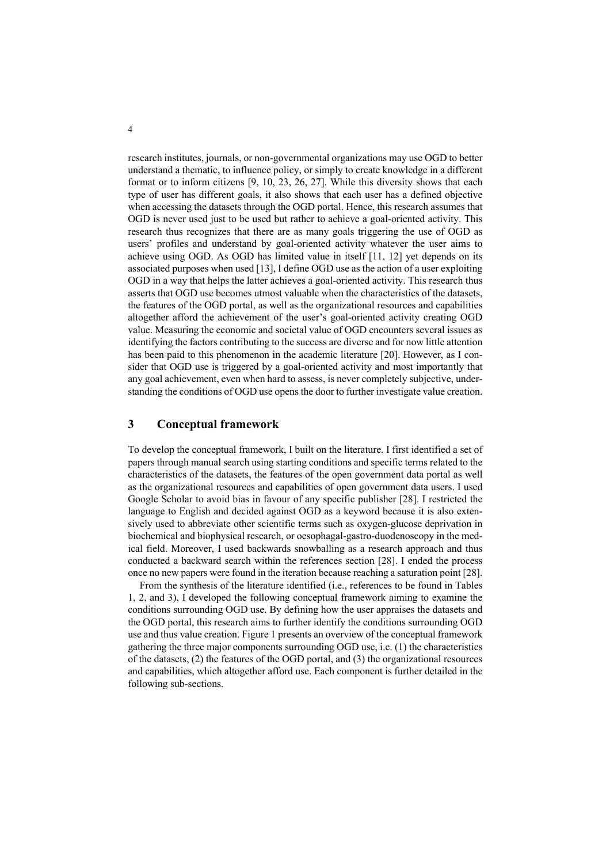research institutes, journals, or non-governmental organizations may use OGD to better understand a thematic, to influence policy, or simply to create knowledge in a different format or to inform citizens [9, 10, 23, 26, 27]. While this diversity shows that each type of user has different goals, it also shows that each user has a defined objective when accessing the datasets through the OGD portal. Hence, this research assumes that OGD is never used just to be used but rather to achieve a goal-oriented activity. This research thus recognizes that there are as many goals triggering the use of OGD as users' profiles and understand by goal-oriented activity whatever the user aims to achieve using OGD. As OGD has limited value in itself [11, 12] yet depends on its associated purposes when used [13], I define OGD use as the action of a user exploiting OGD in a way that helps the latter achieves a goal-oriented activity. This research thus asserts that OGD use becomes utmost valuable when the characteristics of the datasets, the features of the OGD portal, as well as the organizational resources and capabilities altogether afford the achievement of the user's goal-oriented activity creating OGD value. Measuring the economic and societal value of OGD encounters several issues as identifying the factors contributing to the success are diverse and for now little attention has been paid to this phenomenon in the academic literature [20]. However, as I consider that OGD use is triggered by a goal-oriented activity and most importantly that any goal achievement, even when hard to assess, is never completely subjective, understanding the conditions of OGD use opens the door to further investigate value creation.

# **3 Conceptual framework**

To develop the conceptual framework, I built on the literature. I first identified a set of papers through manual search using starting conditions and specific terms related to the characteristics of the datasets, the features of the open government data portal as well as the organizational resources and capabilities of open government data users. I used Google Scholar to avoid bias in favour of any specific publisher [28]. I restricted the language to English and decided against OGD as a keyword because it is also extensively used to abbreviate other scientific terms such as oxygen-glucose deprivation in biochemical and biophysical research, or oesophagal-gastro-duodenoscopy in the medical field. Moreover, I used backwards snowballing as a research approach and thus conducted a backward search within the references section [28]. I ended the process once no new papers were found in the iteration because reaching a saturation point [28].

From the synthesis of the literature identified (i.e., references to be found in Tables 1, 2, and 3), I developed the following conceptual framework aiming to examine the conditions surrounding OGD use. By defining how the user appraises the datasets and the OGD portal, this research aims to further identify the conditions surrounding OGD use and thus value creation. Figure 1 presents an overview of the conceptual framework gathering the three major components surrounding OGD use, i.e. (1) the characteristics of the datasets, (2) the features of the OGD portal, and (3) the organizational resources and capabilities, which altogether afford use. Each component is further detailed in the following sub-sections.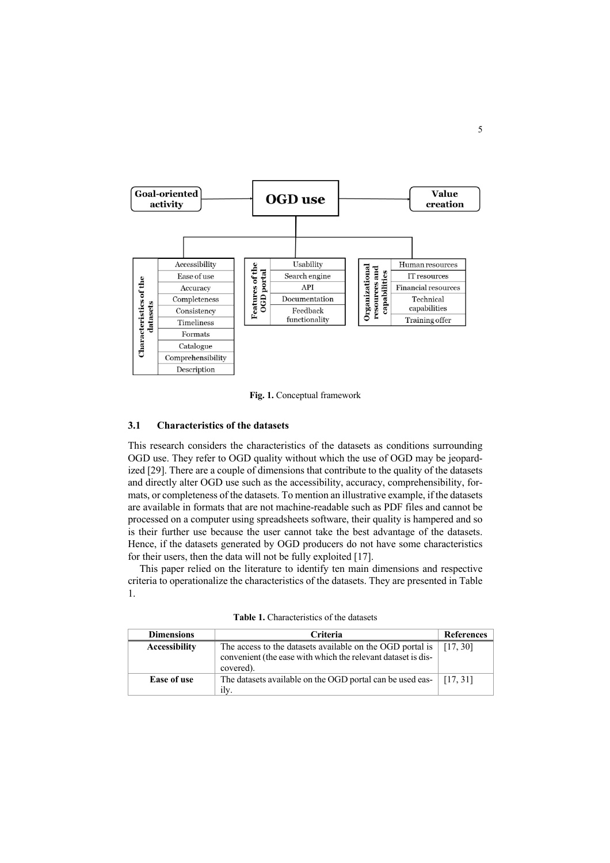

**Fig. 1.** Conceptual framework

### **3.1 Characteristics of the datasets**

This research considers the characteristics of the datasets as conditions surrounding OGD use. They refer to OGD quality without which the use of OGD may be jeopardized [29]. There are a couple of dimensions that contribute to the quality of the datasets and directly alter OGD use such as the accessibility, accuracy, comprehensibility, formats, or completeness of the datasets. To mention an illustrative example, if the datasets are available in formats that are not machine-readable such as PDF files and cannot be processed on a computer using spreadsheets software, their quality is hampered and so is their further use because the user cannot take the best advantage of the datasets. Hence, if the datasets generated by OGD producers do not have some characteristics for their users, then the data will not be fully exploited [17].

This paper relied on the literature to identify ten main dimensions and respective criteria to operationalize the characteristics of the datasets. They are presented in Table 1.

| <b>Dimensions</b>    | <b>Criteria</b>                                                                                                                        | References |
|----------------------|----------------------------------------------------------------------------------------------------------------------------------------|------------|
| <b>Accessibility</b> | The access to the datasets available on the OGD portal is<br>convenient (the ease with which the relevant dataset is dis-<br>covered). | [17, 30]   |
| Ease of use          | The datasets available on the OGD portal can be used eas- $\left[ \begin{array}{c} 17,31 \end{array} \right]$<br>ilv.                  |            |

**Table 1.** Characteristics of the datasets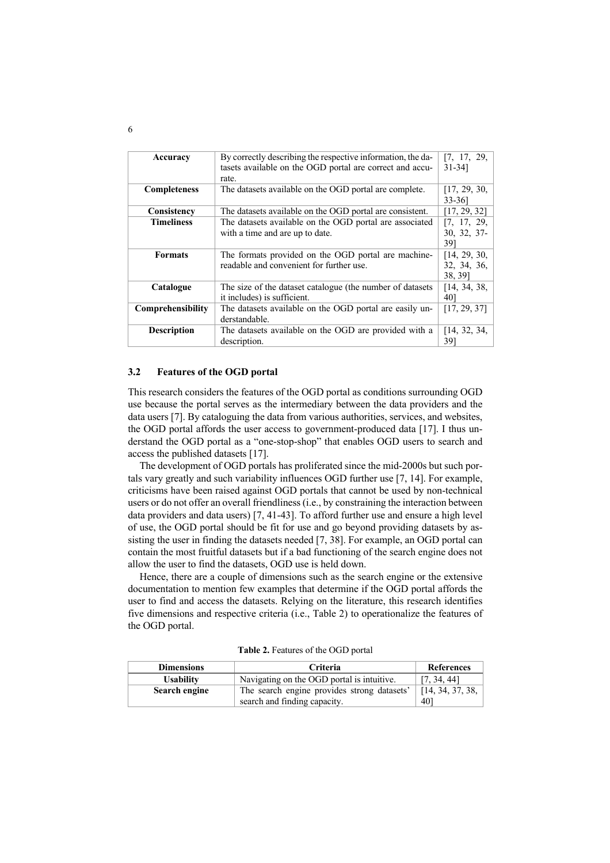| Accuracy            | By correctly describing the respective information, the da- | [7, 17, 29,  |
|---------------------|-------------------------------------------------------------|--------------|
|                     | tasets available on the OGD portal are correct and accu-    | $31 - 34$    |
|                     | rate.                                                       |              |
| <b>Completeness</b> | The datasets available on the OGD portal are complete.      | [17, 29, 30, |
|                     |                                                             | $33 - 361$   |
| Consistency         | The datasets available on the OGD portal are consistent.    | [17, 29, 32] |
| <b>Timeliness</b>   | The datasets available on the OGD portal are associated     | [7, 17, 29,  |
|                     | with a time and are up to date.                             | 30, 32, 37-  |
|                     |                                                             | 391          |
| <b>Formats</b>      | The formats provided on the OGD portal are machine-         | [14, 29, 30, |
|                     | readable and convenient for further use.                    | 32, 34, 36,  |
|                     |                                                             | 38, 39]      |
| Catalogue           | The size of the dataset catalogue (the number of datasets   | [14, 34, 38, |
|                     | it includes) is sufficient.                                 | 401          |
| Comprehensibility   | The datasets available on the OGD portal are easily un-     | [17, 29, 37] |
|                     | derstandable.                                               |              |
| <b>Description</b>  | The datasets available on the OGD are provided with a       | [14, 32, 34, |
|                     | description.                                                | 391          |

#### **3.2 Features of the OGD portal**

This research considers the features of the OGD portal as conditions surrounding OGD use because the portal serves as the intermediary between the data providers and the data users [7]. By cataloguing the data from various authorities, services, and websites, the OGD portal affords the user access to government-produced data [17]. I thus understand the OGD portal as a "one-stop-shop" that enables OGD users to search and access the published datasets [17].

The development of OGD portals has proliferated since the mid-2000s but such portals vary greatly and such variability influences OGD further use [7, 14]. For example, criticisms have been raised against OGD portals that cannot be used by non-technical users or do not offer an overall friendliness (i.e., by constraining the interaction between data providers and data users) [7, 41-43]. To afford further use and ensure a high level of use, the OGD portal should be fit for use and go beyond providing datasets by assisting the user in finding the datasets needed [7, 38]. For example, an OGD portal can contain the most fruitful datasets but if a bad functioning of the search engine does not allow the user to find the datasets, OGD use is held down.

Hence, there are a couple of dimensions such as the search engine or the extensive documentation to mention few examples that determine if the OGD portal affords the user to find and access the datasets. Relying on the literature, this research identifies five dimensions and respective criteria (i.e., Table 2) to operationalize the features of the OGD portal.

| <b>Dimensions</b> | <b>Criteria</b>                             | <b>References</b> |
|-------------------|---------------------------------------------|-------------------|
| <b>Usability</b>  | Navigating on the OGD portal is intuitive.  | [7, 34, 44]       |
| Search engine     | The search engine provides strong datasets' | [14, 34, 37, 38,  |
|                   | search and finding capacity.                | 401               |

**Table 2.** Features of the OGD portal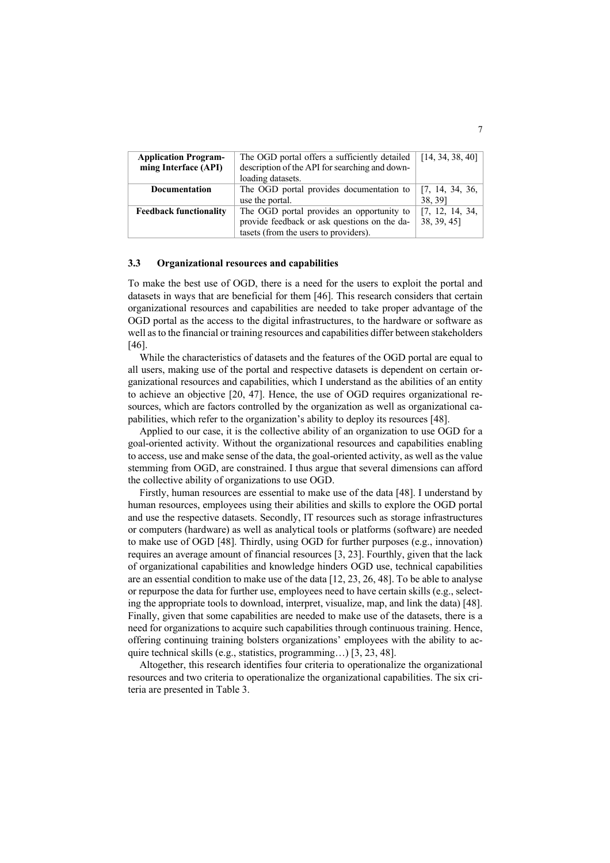| <b>Application Program-</b>   | The OGD portal offers a sufficiently detailed  | $\vert$ [14, 34, 38, 40] |
|-------------------------------|------------------------------------------------|--------------------------|
| ming Interface (API)          | description of the API for searching and down- |                          |
|                               | loading datasets.                              |                          |
| Documentation                 | The OGD portal provides documentation to       | [7, 14, 34, 36,          |
|                               | use the portal.                                | 38, 39]                  |
| <b>Feedback functionality</b> | The OGD portal provides an opportunity to      | [7, 12, 14, 34,          |
|                               | provide feedback or ask questions on the da-   | 38, 39, 45]              |
|                               | tasets (from the users to providers).          |                          |

#### **3.3 Organizational resources and capabilities**

To make the best use of OGD, there is a need for the users to exploit the portal and datasets in ways that are beneficial for them [46]. This research considers that certain organizational resources and capabilities are needed to take proper advantage of the OGD portal as the access to the digital infrastructures, to the hardware or software as well as to the financial or training resources and capabilities differ between stakeholders [46].

While the characteristics of datasets and the features of the OGD portal are equal to all users, making use of the portal and respective datasets is dependent on certain organizational resources and capabilities, which I understand as the abilities of an entity to achieve an objective [20, 47]. Hence, the use of OGD requires organizational resources, which are factors controlled by the organization as well as organizational capabilities, which refer to the organization's ability to deploy its resources [48].

Applied to our case, it is the collective ability of an organization to use OGD for a goal-oriented activity. Without the organizational resources and capabilities enabling to access, use and make sense of the data, the goal-oriented activity, as well as the value stemming from OGD, are constrained. I thus argue that several dimensions can afford the collective ability of organizations to use OGD.

Firstly, human resources are essential to make use of the data [48]. I understand by human resources, employees using their abilities and skills to explore the OGD portal and use the respective datasets. Secondly, IT resources such as storage infrastructures or computers (hardware) as well as analytical tools or platforms (software) are needed to make use of OGD [48]. Thirdly, using OGD for further purposes (e.g., innovation) requires an average amount of financial resources [3, 23]. Fourthly, given that the lack of organizational capabilities and knowledge hinders OGD use, technical capabilities are an essential condition to make use of the data [12, 23, 26, 48]. To be able to analyse or repurpose the data for further use, employees need to have certain skills (e.g., selecting the appropriate tools to download, interpret, visualize, map, and link the data) [48]. Finally, given that some capabilities are needed to make use of the datasets, there is a need for organizations to acquire such capabilities through continuous training. Hence, offering continuing training bolsters organizations' employees with the ability to acquire technical skills (e.g., statistics, programming…) [3, 23, 48].

Altogether, this research identifies four criteria to operationalize the organizational resources and two criteria to operationalize the organizational capabilities. The six criteria are presented in Table 3.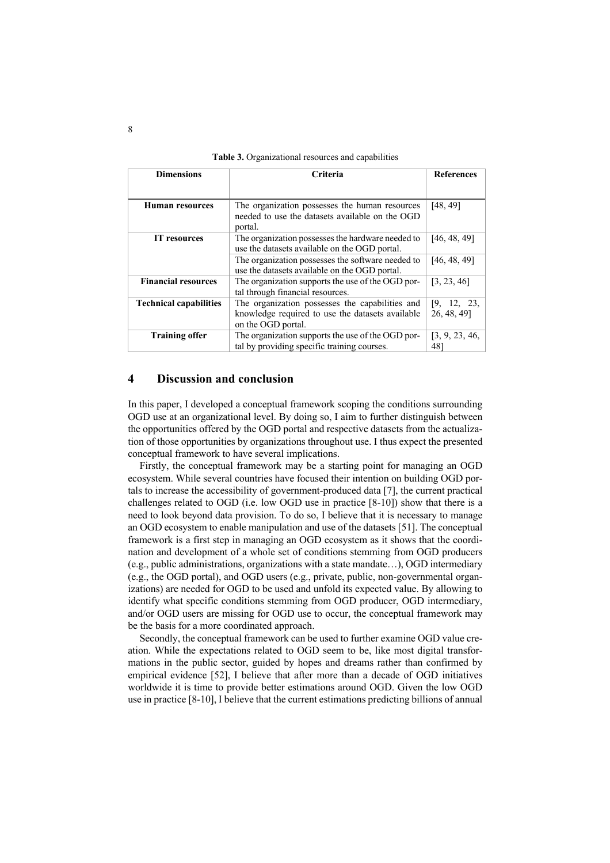| <b>Dimensions</b>             | Criteria                                                                                                                  | <b>References</b>          |
|-------------------------------|---------------------------------------------------------------------------------------------------------------------------|----------------------------|
|                               |                                                                                                                           |                            |
| Human resources               | The organization possesses the human resources<br>needed to use the datasets available on the OGD<br>portal.              | [48, 49]                   |
| <b>IT</b> resources           | The organization possesses the hardware needed to<br>use the datasets available on the OGD portal.                        | [46, 48, 49]               |
|                               | The organization possesses the software needed to<br>use the datasets available on the OGD portal.                        | [46, 48, 49]               |
| <b>Financial resources</b>    | The organization supports the use of the OGD por-<br>tal through financial resources.                                     | [3, 23, 46]                |
| <b>Technical capabilities</b> | The organization possesses the capabilities and<br>knowledge required to use the datasets available<br>on the OGD portal. | [9, 12, 23,<br>26, 48, 49] |
| <b>Training offer</b>         | The organization supports the use of the OGD por-<br>tal by providing specific training courses.                          | [3, 9, 23, 46,<br>48]      |

**Table 3.** Organizational resources and capabilities

# **4 Discussion and conclusion**

In this paper, I developed a conceptual framework scoping the conditions surrounding OGD use at an organizational level. By doing so, I aim to further distinguish between the opportunities offered by the OGD portal and respective datasets from the actualization of those opportunities by organizations throughout use. I thus expect the presented conceptual framework to have several implications.

Firstly, the conceptual framework may be a starting point for managing an OGD ecosystem. While several countries have focused their intention on building OGD portals to increase the accessibility of government-produced data [7], the current practical challenges related to OGD (i.e. low OGD use in practice [8-10]) show that there is a need to look beyond data provision. To do so, I believe that it is necessary to manage an OGD ecosystem to enable manipulation and use of the datasets [51]. The conceptual framework is a first step in managing an OGD ecosystem as it shows that the coordination and development of a whole set of conditions stemming from OGD producers (e.g., public administrations, organizations with a state mandate…), OGD intermediary (e.g., the OGD portal), and OGD users (e.g., private, public, non-governmental organizations) are needed for OGD to be used and unfold its expected value. By allowing to identify what specific conditions stemming from OGD producer, OGD intermediary, and/or OGD users are missing for OGD use to occur, the conceptual framework may be the basis for a more coordinated approach.

Secondly, the conceptual framework can be used to further examine OGD value creation. While the expectations related to OGD seem to be, like most digital transformations in the public sector, guided by hopes and dreams rather than confirmed by empirical evidence [52], I believe that after more than a decade of OGD initiatives worldwide it is time to provide better estimations around OGD. Given the low OGD use in practice [8-10], I believe that the current estimations predicting billions of annual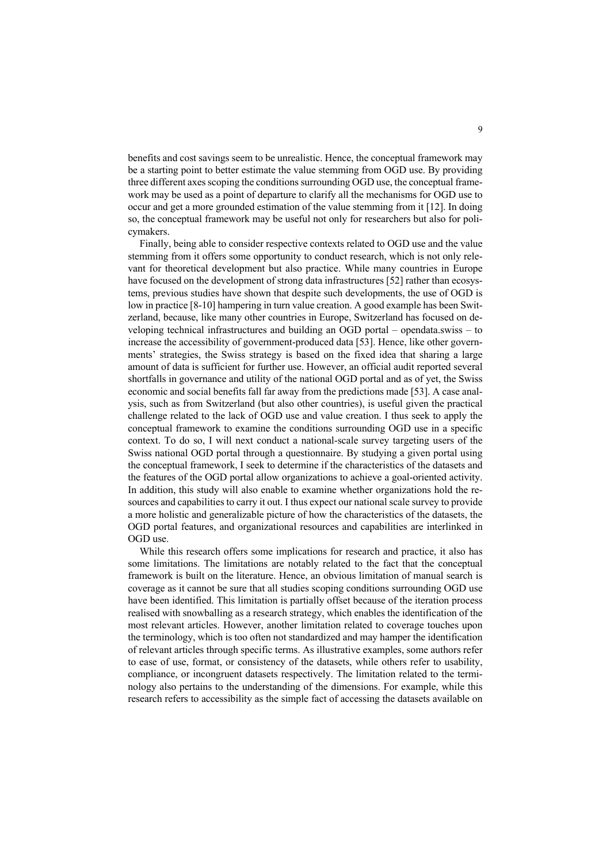benefits and cost savings seem to be unrealistic. Hence, the conceptual framework may be a starting point to better estimate the value stemming from OGD use. By providing three different axes scoping the conditions surrounding OGD use, the conceptual framework may be used as a point of departure to clarify all the mechanisms for OGD use to occur and get a more grounded estimation of the value stemming from it [12]. In doing so, the conceptual framework may be useful not only for researchers but also for policymakers.

Finally, being able to consider respective contexts related to OGD use and the value stemming from it offers some opportunity to conduct research, which is not only relevant for theoretical development but also practice. While many countries in Europe have focused on the development of strong data infrastructures [52] rather than ecosystems, previous studies have shown that despite such developments, the use of OGD is low in practice [8-10] hampering in turn value creation. A good example has been Switzerland, because, like many other countries in Europe, Switzerland has focused on developing technical infrastructures and building an OGD portal – opendata.swiss – to increase the accessibility of government-produced data [53]. Hence, like other governments' strategies, the Swiss strategy is based on the fixed idea that sharing a large amount of data is sufficient for further use. However, an official audit reported several shortfalls in governance and utility of the national OGD portal and as of yet, the Swiss economic and social benefits fall far away from the predictions made [53]. A case analysis, such as from Switzerland (but also other countries), is useful given the practical challenge related to the lack of OGD use and value creation. I thus seek to apply the conceptual framework to examine the conditions surrounding OGD use in a specific context. To do so, I will next conduct a national-scale survey targeting users of the Swiss national OGD portal through a questionnaire. By studying a given portal using the conceptual framework, I seek to determine if the characteristics of the datasets and the features of the OGD portal allow organizations to achieve a goal-oriented activity. In addition, this study will also enable to examine whether organizations hold the resources and capabilities to carry it out. I thus expect our national scale survey to provide a more holistic and generalizable picture of how the characteristics of the datasets, the OGD portal features, and organizational resources and capabilities are interlinked in OGD use.

While this research offers some implications for research and practice, it also has some limitations. The limitations are notably related to the fact that the conceptual framework is built on the literature. Hence, an obvious limitation of manual search is coverage as it cannot be sure that all studies scoping conditions surrounding OGD use have been identified. This limitation is partially offset because of the iteration process realised with snowballing as a research strategy, which enables the identification of the most relevant articles. However, another limitation related to coverage touches upon the terminology, which is too often not standardized and may hamper the identification of relevant articles through specific terms. As illustrative examples, some authors refer to ease of use, format, or consistency of the datasets, while others refer to usability, compliance, or incongruent datasets respectively. The limitation related to the terminology also pertains to the understanding of the dimensions. For example, while this research refers to accessibility as the simple fact of accessing the datasets available on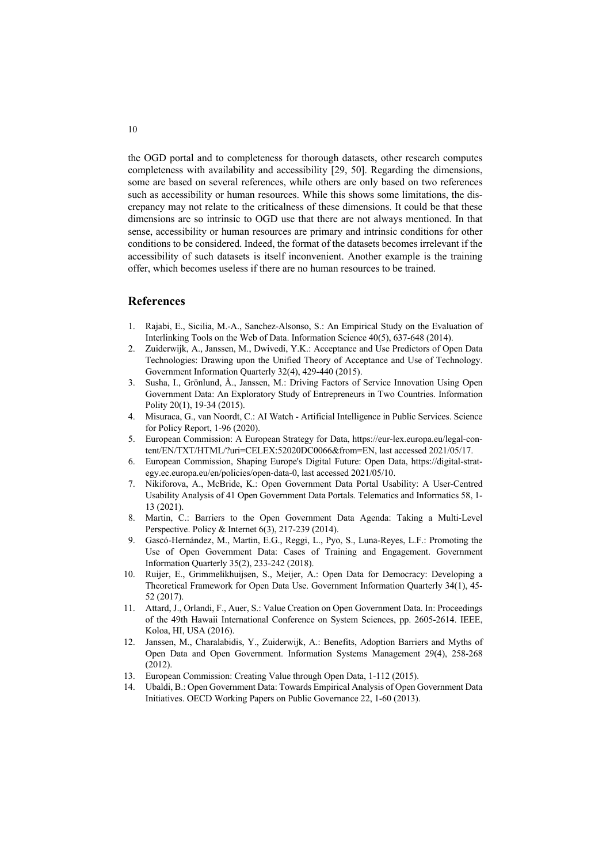the OGD portal and to completeness for thorough datasets, other research computes completeness with availability and accessibility [29, 50]. Regarding the dimensions, some are based on several references, while others are only based on two references such as accessibility or human resources. While this shows some limitations, the discrepancy may not relate to the criticalness of these dimensions. It could be that these dimensions are so intrinsic to OGD use that there are not always mentioned. In that sense, accessibility or human resources are primary and intrinsic conditions for other conditions to be considered. Indeed, the format of the datasets becomes irrelevant if the accessibility of such datasets is itself inconvenient. Another example is the training offer, which becomes useless if there are no human resources to be trained.

#### **References**

- 1. Rajabi, E., Sicilia, M.-A., Sanchez-Alsonso, S.: An Empirical Study on the Evaluation of Interlinking Tools on the Web of Data. Information Science 40(5), 637-648 (2014).
- 2. Zuiderwijk, A., Janssen, M., Dwivedi, Y.K.: Acceptance and Use Predictors of Open Data Technologies: Drawing upon the Unified Theory of Acceptance and Use of Technology. Government Information Quarterly 32(4), 429-440 (2015).
- 3. Susha, I., Grönlund, Å., Janssen, M.: Driving Factors of Service Innovation Using Open Government Data: An Exploratory Study of Entrepreneurs in Two Countries. Information Polity 20(1), 19-34 (2015).
- 4. Misuraca, G., van Noordt, C.: AI Watch Artificial Intelligence in Public Services. Science for Policy Report, 1-96 (2020).
- 5. European Commission: A European Strategy for Data, https://eur-lex.europa.eu/legal-content/EN/TXT/HTML/?uri=CELEX:52020DC0066&from=EN, last accessed 2021/05/17.
- 6. European Commission, Shaping Europe's Digital Future: Open Data, https://digital-strategy.ec.europa.eu/en/policies/open-data-0, last accessed 2021/05/10.
- 7. Nikiforova, A., McBride, K.: Open Government Data Portal Usability: A User-Centred Usability Analysis of 41 Open Government Data Portals. Telematics and Informatics 58, 1- 13 (2021).
- 8. Martin, C.: Barriers to the Open Government Data Agenda: Taking a Multi-Level Perspective. Policy & Internet 6(3), 217-239 (2014).
- 9. Gascó-Hernández, M., Martin, E.G., Reggi, L., Pyo, S., Luna-Reyes, L.F.: Promoting the Use of Open Government Data: Cases of Training and Engagement. Government Information Quarterly 35(2), 233-242 (2018).
- 10. Ruijer, E., Grimmelikhuijsen, S., Meijer, A.: Open Data for Democracy: Developing a Theoretical Framework for Open Data Use. Government Information Quarterly 34(1), 45- 52 (2017).
- 11. Attard, J., Orlandi, F., Auer, S.: Value Creation on Open Government Data. In: Proceedings of the 49th Hawaii International Conference on System Sciences, pp. 2605-2614. IEEE, Koloa, HI, USA (2016).
- 12. Janssen, M., Charalabidis, Y., Zuiderwijk, A.: Benefits, Adoption Barriers and Myths of Open Data and Open Government. Information Systems Management 29(4), 258-268 (2012).
- 13. European Commission: Creating Value through Open Data, 1-112 (2015).
- 14. Ubaldi, B.: Open Government Data: Towards Empirical Analysis of Open Government Data Initiatives. OECD Working Papers on Public Governance 22, 1-60 (2013).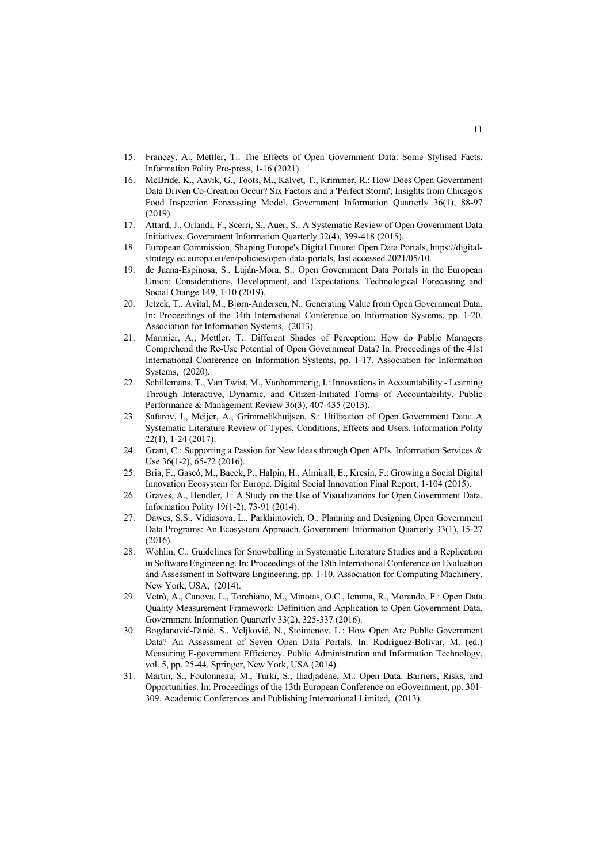- 15. Francey, A., Mettler, T.: The Effects of Open Government Data: Some Stylised Facts. Information Polity Pre-press, 1-16 (2021).
- 16. McBride, K., Aavik, G., Toots, M., Kalvet, T., Krimmer, R.: How Does Open Government Data Driven Co-Creation Occur? Six Factors and a 'Perfect Storm'; Insights from Chicago's Food Inspection Forecasting Model. Government Information Quarterly 36(1), 88-97 (2019).
- 17. Attard, J., Orlandi, F., Scerri, S., Auer, S.: A Systematic Review of Open Government Data Initiatives. Government Information Quarterly 32(4), 399-418 (2015).
- 18. European Commission, Shaping Europe's Digital Future: Open Data Portals, https://digitalstrategy.ec.europa.eu/en/policies/open-data-portals, last accessed 2021/05/10.
- 19. de Juana-Espinosa, S., Luján-Mora, S.: Open Government Data Portals in the European Union: Considerations, Development, and Expectations. Technological Forecasting and Social Change 149, 1-10 (2019).
- 20. Jetzek, T., Avital, M., Bjørn-Andersen, N.: Generating Value from Open Government Data. In: Proceedings of the 34th International Conference on Information Systems, pp. 1-20. Association for Information Systems, (2013).
- 21. Marmier, A., Mettler, T.: Different Shades of Perception: How do Public Managers Comprehend the Re-Use Potential of Open Government Data? In: Proceedings of the 41st International Conference on Information Systems, pp. 1-17. Association for Information Systems, (2020).
- 22. Schillemans, T., Van Twist, M., Vanhommerig, I.: Innovations in Accountability Learning Through Interactive, Dynamic, and Citizen-Initiated Forms of Accountability. Public Performance & Management Review 36(3), 407-435 (2013).
- 23. Safarov, I., Meijer, A., Grimmelikhuijsen, S.: Utilization of Open Government Data: A Systematic Literature Review of Types, Conditions, Effects and Users. Information Polity 22(1), 1-24 (2017).
- 24. Grant, C.: Supporting a Passion for New Ideas through Open APIs. Information Services & Use 36(1-2), 65-72 (2016).
- 25. Bria, F., Gascó, M., Baeck, P., Halpin, H., Almirall, E., Kresin, F.: Growing a Social Digital Innovation Ecosystem for Europe. Digital Social Innovation Final Report, 1-104 (2015).
- 26. Graves, A., Hendler, J.: A Study on the Use of Visualizations for Open Government Data. Information Polity 19(1-2), 73-91 (2014).
- 27. Dawes, S.S., Vidiasova, L., Parkhimovich, O.: Planning and Designing Open Government Data Programs: An Ecosystem Approach. Government Information Quarterly 33(1), 15-27  $(2016)$ .
- 28. Wohlin, C.: Guidelines for Snowballing in Systematic Literature Studies and a Replication in Software Engineering. In: Proceedings of the 18th International Conference on Evaluation and Assessment in Software Engineering, pp. 1-10. Association for Computing Machinery, New York, USA, (2014).
- 29. Vetrò, A., Canova, L., Torchiano, M., Minotas, O.C., Iemma, R., Morando, F.: Open Data Quality Measurement Framework: Definition and Application to Open Government Data. Government Information Quarterly 33(2), 325-337 (2016).
- 30. Bogdanović-Dinić, S., Veljković, N., Stoimenov, L.: How Open Are Public Government Data? An Assessment of Seven Open Data Portals. In: Rodríguez-Bolívar, M. (ed.) Measuring E-government Efficiency. Public Administration and Information Technology, vol. 5, pp. 25-44. Springer, New York, USA (2014).
- 31. Martin, S., Foulonneau, M., Turki, S., Ihadjadene, M.: Open Data: Barriers, Risks, and Opportunities. In: Proceedings of the 13th European Conference on eGovernment, pp. 301- 309. Academic Conferences and Publishing International Limited, (2013).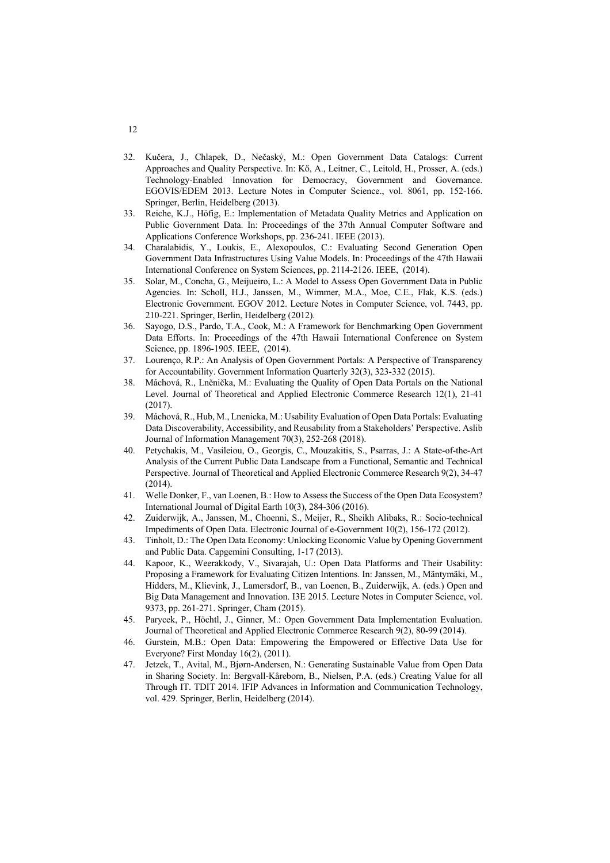- 32. Kučera, J., Chlapek, D., Nečaský, M.: Open Government Data Catalogs: Current Approaches and Quality Perspective. In: Kő, A., Leitner, C., Leitold, H., Prosser, A. (eds.) Technology-Enabled Innovation for Democracy, Government and Governance. EGOVIS/EDEM 2013. Lecture Notes in Computer Science., vol. 8061, pp. 152-166. Springer, Berlin, Heidelberg (2013).
- 33. Reiche, K.J., Höfig, E.: Implementation of Metadata Quality Metrics and Application on Public Government Data. In: Proceedings of the 37th Annual Computer Software and Applications Conference Workshops, pp. 236-241. IEEE (2013).
- 34. Charalabidis, Y., Loukis, E., Alexopoulos, C.: Evaluating Second Generation Open Government Data Infrastructures Using Value Models. In: Proceedings of the 47th Hawaii International Conference on System Sciences, pp. 2114-2126. IEEE, (2014).
- 35. Solar, M., Concha, G., Meijueiro, L.: A Model to Assess Open Government Data in Public Agencies. In: Scholl, H.J., Janssen, M., Wimmer, M.A., Moe, C.E., Flak, K.S. (eds.) Electronic Government. EGOV 2012. Lecture Notes in Computer Science, vol. 7443, pp. 210-221. Springer, Berlin, Heidelberg (2012).
- 36. Sayogo, D.S., Pardo, T.A., Cook, M.: A Framework for Benchmarking Open Government Data Efforts. In: Proceedings of the 47th Hawaii International Conference on System Science, pp. 1896-1905. IEEE, (2014).
- 37. Lourenço, R.P.: An Analysis of Open Government Portals: A Perspective of Transparency for Accountability. Government Information Quarterly 32(3), 323-332 (2015).
- 38. Máchová, R., Lněnička, M.: Evaluating the Quality of Open Data Portals on the National Level. Journal of Theoretical and Applied Electronic Commerce Research 12(1), 21-41 (2017).
- 39. Máchová, R., Hub, M., Lnenicka, M.: Usability Evaluation of Open Data Portals: Evaluating Data Discoverability, Accessibility, and Reusability from a Stakeholders' Perspective. Aslib Journal of Information Management 70(3), 252-268 (2018).
- 40. Petychakis, M., Vasileiou, O., Georgis, C., Mouzakitis, S., Psarras, J.: A State-of-the-Art Analysis of the Current Public Data Landscape from a Functional, Semantic and Technical Perspective. Journal of Theoretical and Applied Electronic Commerce Research 9(2), 34-47 (2014).
- 41. Welle Donker, F., van Loenen, B.: How to Assess the Success of the Open Data Ecosystem? International Journal of Digital Earth 10(3), 284-306 (2016).
- 42. Zuiderwijk, A., Janssen, M., Choenni, S., Meijer, R., Sheikh Alibaks, R.: Socio-technical Impediments of Open Data. Electronic Journal of e-Government 10(2), 156-172 (2012).
- 43. Tinholt, D.: The Open Data Economy: Unlocking Economic Value by Opening Government and Public Data. Capgemini Consulting, 1-17 (2013).
- 44. Kapoor, K., Weerakkody, V., Sivarajah, U.: Open Data Platforms and Their Usability: Proposing a Framework for Evaluating Citizen Intentions. In: Janssen, M., Mäntymäki, M., Hidders, M., Klievink, J., Lamersdorf, B., van Loenen, B., Zuiderwijk, A. (eds.) Open and Big Data Management and Innovation. I3E 2015. Lecture Notes in Computer Science, vol. 9373, pp. 261-271. Springer, Cham (2015).
- 45. Parycek, P., Höchtl, J., Ginner, M.: Open Government Data Implementation Evaluation. Journal of Theoretical and Applied Electronic Commerce Research 9(2), 80-99 (2014).
- 46. Gurstein, M.B.: Open Data: Empowering the Empowered or Effective Data Use for Everyone? First Monday 16(2), (2011).
- 47. Jetzek, T., Avital, M., Bjørn-Andersen, N.: Generating Sustainable Value from Open Data in Sharing Society. In: Bergvall-Kåreborn, B., Nielsen, P.A. (eds.) Creating Value for all Through IT. TDIT 2014. IFIP Advances in Information and Communication Technology, vol. 429. Springer, Berlin, Heidelberg (2014).

## 12